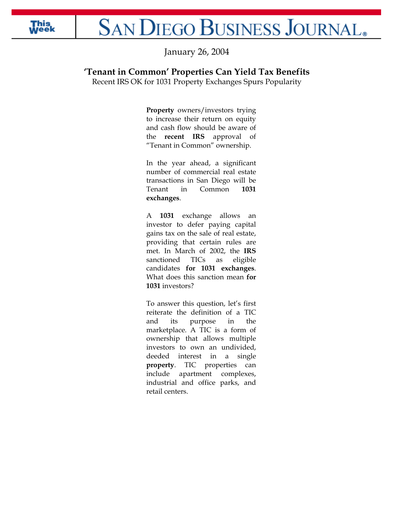

## **SAN DIEGO BUSINESS JOURNAL**.

January 26, 2004

## **'Tenant in Common' Properties Can Yield Tax Benefits**

Recent IRS OK for 1031 Property Exchanges Spurs Popularity

**Property** owners/investors trying to increase their return on equity and cash flow should be aware of the **recent IRS** approval of "Tenant in Common" ownership.

In the year ahead, a significant number of commercial real estate transactions in San Diego will be Tenant in Common **1031 exchanges**.

A **1031** exchange allows an investor to defer paying capital gains tax on the sale of real estate, providing that certain rules are met. In March of 2002, the **IRS** sanctioned TICs as eligible candidates **for 1031 exchanges**. What does this sanction mean **for 1031** investors?

To answer this question, let's first reiterate the definition of a TIC and its purpose in the marketplace. A TIC is a form of ownership that allows multiple investors to own an undivided, deeded interest in a single **property**. TIC properties can include apartment complexes, industrial and office parks, and retail centers.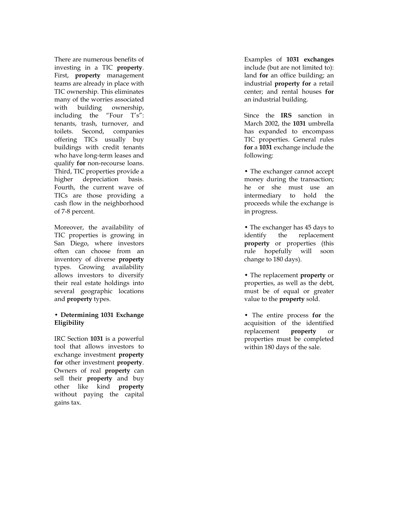There are numerous benefits of investing in a TIC **property**. First, **property** management teams are already in place with TIC ownership. This eliminates many of the worries associated with building ownership, including the "Four T's": tenants, trash, turnover, and toilets. Second, companies offering TICs usually buy buildings with credit tenants who have long-term leases and qualify **for** non-recourse loans. Third, TIC properties provide a higher depreciation basis. Fourth, the current wave of TICs are those providing a cash flow in the neighborhood of 7-8 percent.

Moreover, the availability of TIC properties is growing in San Diego, where investors often can choose from an inventory of diverse **property** types. Growing availability allows investors to diversify their real estate holdings into several geographic locations and **property** types.

## **• Determining 1031 Exchange Eligibility**

IRC Section **1031** is a powerful tool that allows investors to exchange investment **property for** other investment **property**. Owners of real **property** can sell their **property** and buy other like kind **property** without paying the capital gains tax.

Examples of **1031 exchanges** include (but are not limited to): land **for** an office building; an industrial **property for** a retail center; and rental houses **for** an industrial building.

Since the **IRS** sanction in March 2002, the **1031** umbrella has expanded to encompass TIC properties. General rules **for** a **1031** exchange include the following:

• The exchanger cannot accept money during the transaction; he or she must use an intermediary to hold the proceeds while the exchange is in progress.

• The exchanger has 45 days to identify the replacement **property** or properties (this rule hopefully will soon change to 180 days).

• The replacement **property** or properties, as well as the debt, must be of equal or greater value to the **property** sold.

• The entire process **for** the acquisition of the identified replacement **property** or properties must be completed within 180 days of the sale.